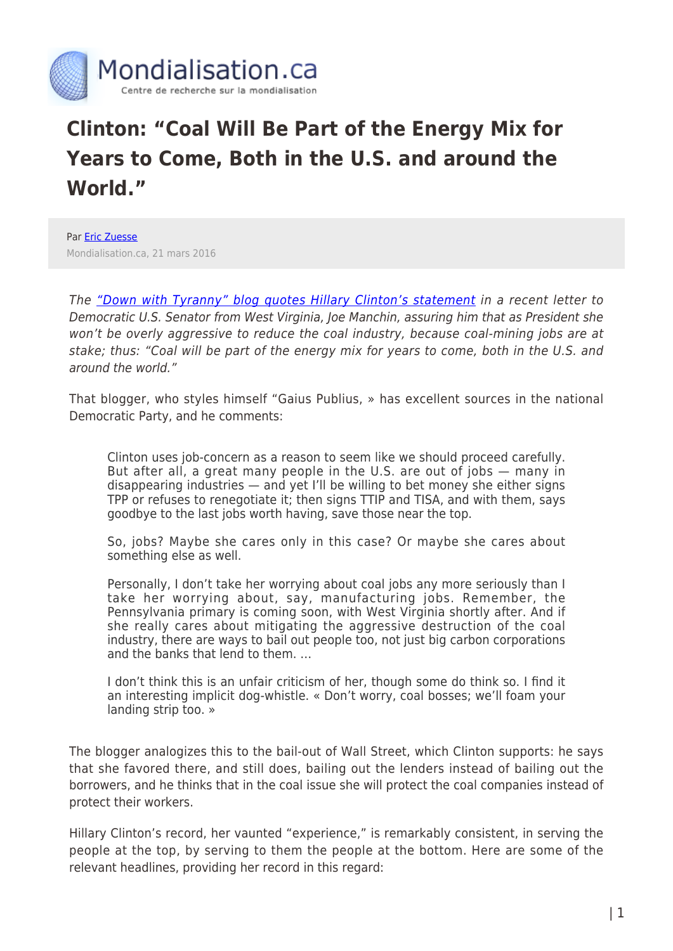

## **Clinton: "Coal Will Be Part of the Energy Mix for Years to Come, Both in the U.S. and around the World."**

Par **[Eric Zuesse](https://www.mondialisation.ca/author/eric-zuesse)** Mondialisation.ca, 21 mars 2016

The ["Down with Tyranny" blog quotes Hillary Clinton's statement](http://downwithtyranny.blogspot.com/2016/03/clinton-coal-will-be-part-of-energy-mix.html) in a recent letter to Democratic U.S. Senator from West Virginia, Joe Manchin, assuring him that as President she won't be overly aggressive to reduce the coal industry, because coal-mining jobs are at stake; thus: "Coal will be part of the energy mix for years to come, both in the U.S. and around the world."

That blogger, who styles himself "Gaius Publius, » has excellent sources in the national Democratic Party, and he comments:

Clinton uses job-concern as a reason to seem like we should proceed carefully. But after all, a great many people in the U.S. are out of jobs — many in disappearing industries — and yet I'll be willing to bet money she either signs TPP or refuses to renegotiate it; then signs TTIP and TISA, and with them, says goodbye to the last jobs worth having, save those near the top.

So, jobs? Maybe she cares only in this case? Or maybe she cares about something else as well.

Personally, I don't take her worrying about coal jobs any more seriously than I take her worrying about, say, manufacturing jobs. Remember, the Pennsylvania primary is coming soon, with West Virginia shortly after. And if she really cares about mitigating the aggressive destruction of the coal industry, there are ways to bail out people too, not just big carbon corporations and the banks that lend to them. …

I don't think this is an unfair criticism of her, though some do think so. I find it an interesting implicit dog-whistle. « Don't worry, coal bosses; we'll foam your landing strip too. »

The blogger analogizes this to the bail-out of Wall Street, which Clinton supports: he says that she favored there, and still does, bailing out the lenders instead of bailing out the borrowers, and he thinks that in the coal issue she will protect the coal companies instead of protect their workers.

Hillary Clinton's record, her vaunted "experience," is remarkably consistent, in serving the people at the top, by serving to them the people at the bottom. Here are some of the relevant headlines, providing her record in this regard: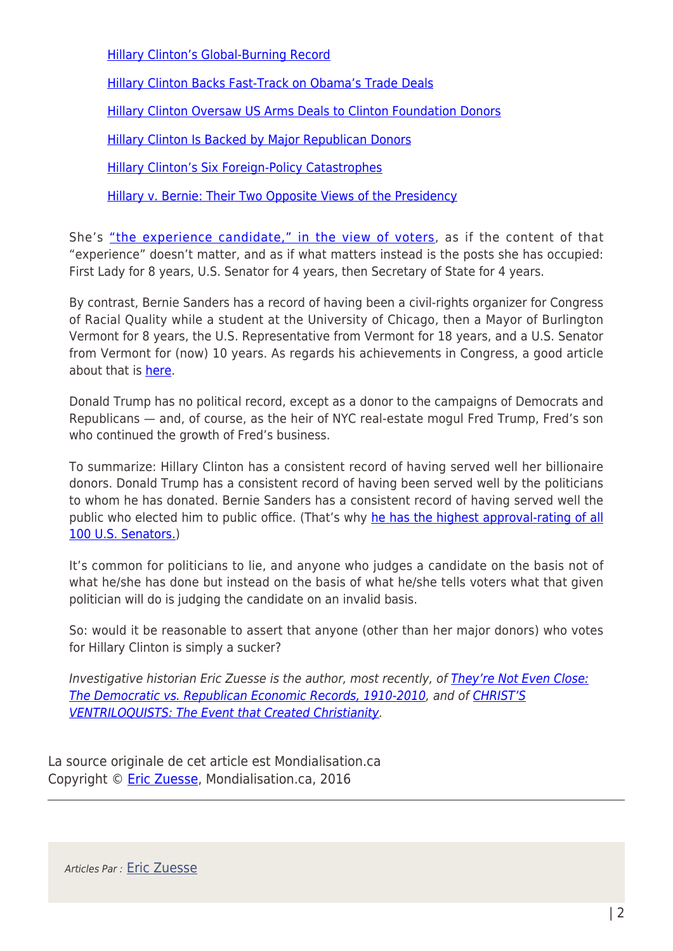[Hillary Clinton's Global-Burning Record](http://www.washingtonsblog.com/2016/02/hillary-clintons-global-burning-record.html)

[Hillary Clinton Backs Fast-Track on Obama's Trade Deals](http://www.huffingtonpost.com/eric-zuesse/hillary-clinton-backs-fas_b_7582738.html)

[Hillary Clinton Oversaw US Arms Deals to Clinton Foundation Donors](http://www.motherjones.com/politics/2015/05/hillary-clinton-foundation-state-arms-deals)

[Hillary Clinton Is Backed by Major Republican Donors](http://www.washingtonsblog.com/2016/02/hillary-clinton-backed-major-republican-donors.html)

[Hillary Clinton's Six Foreign-Policy Catastrophes](http://www.washingtonsblog.com/2016/02/hillary-clintons-six-foreign-policy-catastrophes.html)

[Hillary v. Bernie: Their Two Opposite Views of the Presidency](http://www.washingtonsblog.com/2016/02/hillary-v-bernie-two-opposite-views-presidency.html)

She's ["the experience candidate," in the view of voters,](http://www.washingtonsblog.com/2016/03/proof-ignorance-drives-clintons-voters.html) as if the content of that "experience" doesn't matter, and as if what matters instead is the posts she has occupied: First Lady for 8 years, U.S. Senator for 4 years, then Secretary of State for 4 years.

By contrast, Bernie Sanders has a record of having been a civil-rights organizer for Congress of Racial Quality while a student at the University of Chicago, then a Mayor of Burlington Vermont for 8 years, the U.S. Representative from Vermont for 18 years, and a U.S. Senator from Vermont for (now) 10 years. As regards his achievements in Congress, a good article about that is [here.](http://www.alternet.org/election-2016/bernie-gets-it-done-sanders-record-pushing-through-major-reforms-will-surprise-you)

Donald Trump has no political record, except as a donor to the campaigns of Democrats and Republicans — and, of course, as the heir of NYC real-estate mogul Fred Trump, Fred's son who continued the growth of Fred's business.

To summarize: Hillary Clinton has a consistent record of having served well her billionaire donors. Donald Trump has a consistent record of having been served well by the politicians to whom he has donated. Bernie Sanders has a consistent record of having served well the public who elected him to public office. (That's why [he has the highest approval-rating of all](https://morningconsult.com/2015/11/bernie-sanders-is-the-most-popular-senator-in-america/) [100 U.S. Senators.](https://morningconsult.com/2015/11/bernie-sanders-is-the-most-popular-senator-in-america/))

It's common for politicians to lie, and anyone who judges a candidate on the basis not of what he/she has done but instead on the basis of what he/she tells voters what that given politician will do is judging the candidate on an invalid basis.

So: would it be reasonable to assert that anyone (other than her major donors) who votes for Hillary Clinton is simply a sucker?

Investigative historian Eric Zuesse is the author, most recently, of [They're Not Even Close:](http://www.amazon.com/Theyre-Not-Even-Close-Democratic/dp/1880026090/ref=sr_1_9?ie=UTF8&qid=1339027537&sr=8-9) [The Democratic vs. Republican Economic Records, 1910-2010,](http://www.amazon.com/Theyre-Not-Even-Close-Democratic/dp/1880026090/ref=sr_1_9?ie=UTF8&qid=1339027537&sr=8-9) and of [CHRIST'S](http://www.amazon.com/dp/B007Q1H4EG) [VENTRILOQUISTS: The Event that Created Christianity](http://www.amazon.com/dp/B007Q1H4EG).

La source originale de cet article est Mondialisation.ca Copyright © [Eric Zuesse](https://www.mondialisation.ca/author/eric-zuesse), Mondialisation.ca, 2016